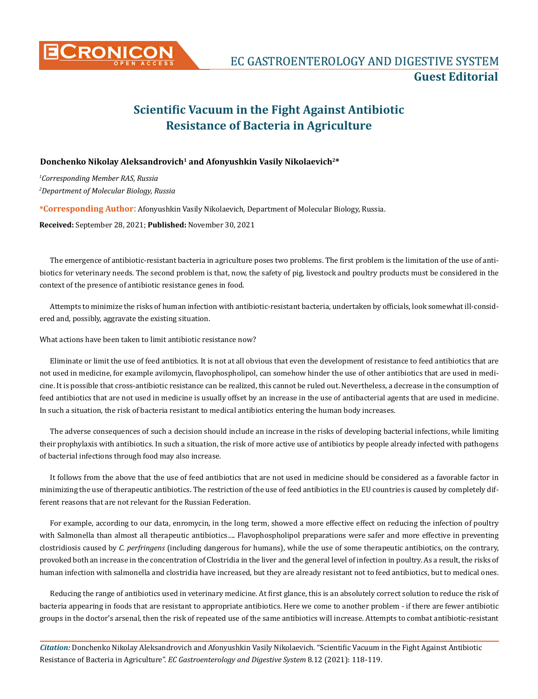

## **Scientific Vacuum in the Fight Against Antibiotic Resistance of Bacteria in Agriculture**

## **Donchenko Nikolay Aleksandrovich<sup>1</sup> and Afonyushkin Vasily Nikolaevich2\***

*1 Corresponding Member RAS, Russia 2 Department of Molecular Biology, Russia*

**\*Corresponding Author**: Afonyushkin Vasily Nikolaevich, Department of Molecular Biology, Russia.

**Received:** September 28, 2021; **Published:** November 30, 2021

The emergence of antibiotic-resistant bacteria in agriculture poses two problems. The first problem is the limitation of the use of antibiotics for veterinary needs. The second problem is that, now, the safety of pig, livestock and poultry products must be considered in the context of the presence of antibiotic resistance genes in food.

Attempts to minimize the risks of human infection with antibiotic-resistant bacteria, undertaken by officials, look somewhat ill-considered and, possibly, aggravate the existing situation.

What actions have been taken to limit antibiotic resistance now?

Eliminate or limit the use of feed antibiotics. It is not at all obvious that even the development of resistance to feed antibiotics that are not used in medicine, for example avilomycin, flavophospholipol, can somehow hinder the use of other antibiotics that are used in medicine. It is possible that cross-antibiotic resistance can be realized, this cannot be ruled out. Nevertheless, a decrease in the consumption of feed antibiotics that are not used in medicine is usually offset by an increase in the use of antibacterial agents that are used in medicine. In such a situation, the risk of bacteria resistant to medical antibiotics entering the human body increases.

The adverse consequences of such a decision should include an increase in the risks of developing bacterial infections, while limiting their prophylaxis with antibiotics. In such a situation, the risk of more active use of antibiotics by people already infected with pathogens of bacterial infections through food may also increase.

It follows from the above that the use of feed antibiotics that are not used in medicine should be considered as a favorable factor in minimizing the use of therapeutic antibiotics. The restriction of the use of feed antibiotics in the EU countries is caused by completely different reasons that are not relevant for the Russian Federation.

For example, according to our data, enromycin, in the long term, showed a more effective effect on reducing the infection of poultry with Salmonella than almost all therapeutic antibiotics…. Flavophospholipol preparations were safer and more effective in preventing clostridiosis caused by *C. perfringens* (including dangerous for humans), while the use of some therapeutic antibiotics, on the contrary, provoked both an increase in the concentration of Clostridia in the liver and the general level of infection in poultry. As a result, the risks of human infection with salmonella and clostridia have increased, but they are already resistant not to feed antibiotics, but to medical ones.

Reducing the range of antibiotics used in veterinary medicine. At first glance, this is an absolutely correct solution to reduce the risk of bacteria appearing in foods that are resistant to appropriate antibiotics. Here we come to another problem - if there are fewer antibiotic groups in the doctor's arsenal, then the risk of repeated use of the same antibiotics will increase. Attempts to combat antibiotic-resistant

*Citation:* Donchenko Nikolay Aleksandrovich and Afonyushkin Vasily Nikolaevich*.* "Scientific Vacuum in the Fight Against Antibiotic Resistance of Bacteria in Agriculture". *EC Gastroenterology and Digestive System* 8.12 (2021): 118-119.